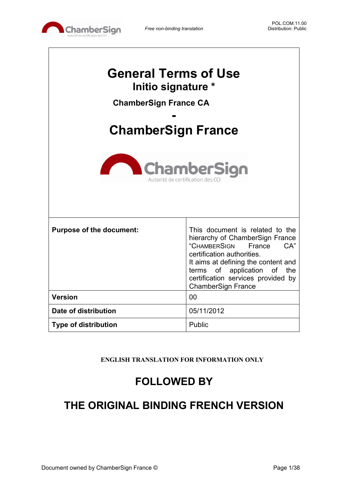

٦

| <b>General Terms of Use</b><br>Initio signature *<br><b>ChamberSign France CA</b><br><b>ChamberSign France</b><br><b>ChamberSign</b><br>Autorité de certification des CC |                                                                                                                                                                                                                                                                            |  |
|--------------------------------------------------------------------------------------------------------------------------------------------------------------------------|----------------------------------------------------------------------------------------------------------------------------------------------------------------------------------------------------------------------------------------------------------------------------|--|
| <b>Purpose of the document:</b>                                                                                                                                          | This document is related to the<br>hierarchy of ChamberSign France<br>"CHAMBERSIGN<br>CA"<br>France<br>certification authorities.<br>It aims at defining the content and<br>terms of application of the<br>certification services provided by<br><b>ChamberSign France</b> |  |
| <b>Version</b>                                                                                                                                                           | 00                                                                                                                                                                                                                                                                         |  |
| Date of distribution                                                                                                                                                     | 05/11/2012                                                                                                                                                                                                                                                                 |  |
| <b>Type of distribution</b>                                                                                                                                              | Public                                                                                                                                                                                                                                                                     |  |

**ENGLISH TRANSLATION FOR INFORMATION ONLY**

# **FOLLOWED BY**

# **THE ORIGINAL BINDING FRENCH VERSION**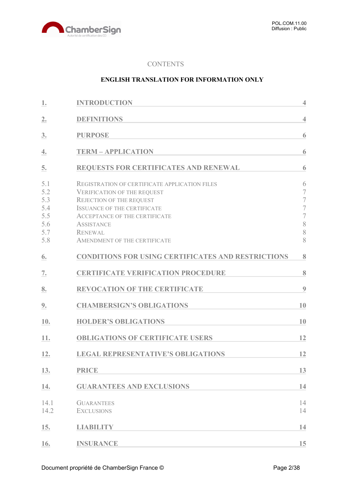

#### **CONTENTS**

#### **ENGLISH TRANSLATION FOR INFORMATION ONLY**

| 1.                                                   | <b>INTRODUCTION</b>                                                                                                                                                                                                                                                         | $\overline{4}$                                                                                               |
|------------------------------------------------------|-----------------------------------------------------------------------------------------------------------------------------------------------------------------------------------------------------------------------------------------------------------------------------|--------------------------------------------------------------------------------------------------------------|
| 2.                                                   | <b>DEFINITIONS</b>                                                                                                                                                                                                                                                          | $\overline{4}$                                                                                               |
| 3.                                                   | <b>PURPOSE</b>                                                                                                                                                                                                                                                              | 6                                                                                                            |
| 4.                                                   | <b>TERM - APPLICATION</b>                                                                                                                                                                                                                                                   | 6                                                                                                            |
| 5.                                                   | REQUESTS FOR CERTIFICATES AND RENEWAL                                                                                                                                                                                                                                       | 6                                                                                                            |
| 5.1<br>5.2<br>5.3<br>5.4<br>5.5<br>5.6<br>5.7<br>5.8 | REGISTRATION OF CERTIFICATE APPLICATION FILES<br><b>VERIFICATION OF THE REQUEST</b><br><b>REJECTION OF THE REQUEST</b><br><b>ISSUANCE OF THE CERTIFICATE</b><br><b>ACCEPTANCE OF THE CERTIFICATE</b><br><b>ASSISTANCE</b><br><b>RENEWAL</b><br>AMENDMENT OF THE CERTIFICATE | 6<br>$\overline{7}$<br>$\overline{\mathcal{I}}$<br>$\overline{\mathcal{I}}$<br>$\overline{7}$<br>8<br>8<br>8 |
| 6.                                                   | <b>CONDITIONS FOR USING CERTIFICATES AND RESTRICTIONS</b>                                                                                                                                                                                                                   | 8                                                                                                            |
| 7.                                                   | <b>CERTIFICATE VERIFICATION PROCEDURE</b>                                                                                                                                                                                                                                   | 8                                                                                                            |
| 8.                                                   | <b>REVOCATION OF THE CERTIFICATE</b>                                                                                                                                                                                                                                        | 9                                                                                                            |
| 9.                                                   | <b>CHAMBERSIGN'S OBLIGATIONS</b>                                                                                                                                                                                                                                            | 10                                                                                                           |
| 10.                                                  | <b>HOLDER'S OBLIGATIONS</b>                                                                                                                                                                                                                                                 | 10                                                                                                           |
| 11.                                                  | <b>OBLIGATIONS OF CERTIFICATE USERS</b>                                                                                                                                                                                                                                     | 12                                                                                                           |
| 12.                                                  | <b>LEGAL REPRESENTATIVE'S OBLIGATIONS</b>                                                                                                                                                                                                                                   | 12                                                                                                           |
| 13.                                                  | <b>PRICE</b>                                                                                                                                                                                                                                                                | 13                                                                                                           |
| 14.                                                  | <b>GUARANTEES AND EXCLUSIONS</b>                                                                                                                                                                                                                                            | 14                                                                                                           |
| 14.1<br>14.2                                         | <b>GUARANTEES</b><br><b>EXCLUSIONS</b>                                                                                                                                                                                                                                      | 14<br>14                                                                                                     |
| 15.                                                  | <b>LIABILITY</b>                                                                                                                                                                                                                                                            | 14                                                                                                           |
| 16.                                                  | <b>INSURANCE</b>                                                                                                                                                                                                                                                            | 15                                                                                                           |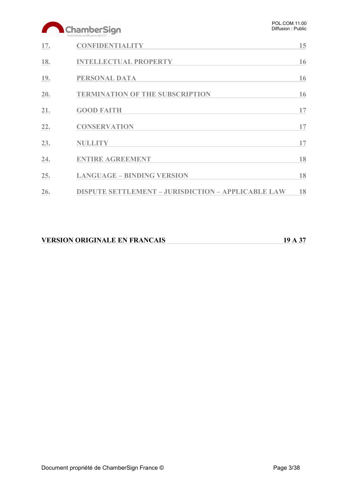# ChamberSign

|     | AUTOLITE DE CELTITOLION DES CCI                           |    |
|-----|-----------------------------------------------------------|----|
| 17. | <b>CONFIDENTIALITY</b>                                    | 15 |
| 18. | <b>INTELLECTUAL PROPERTY</b>                              | 16 |
| 19. | PERSONAL DATA                                             | 16 |
| 20. | <b>TERMINATION OF THE SUBSCRIPTION</b>                    | 16 |
| 21. | <b>GOOD FAITH</b>                                         | 17 |
| 22. | <b>CONSERVATION</b>                                       | 17 |
| 23. | <b>NULLITY</b>                                            | 17 |
| 24. | <b>ENTIRE AGREEMENT</b>                                   | 18 |
| 25. | <b>LANGUAGE - BINDING VERSION</b>                         | 18 |
| 26. | <b>DISPUTE SETTLEMENT - JURISDICTION - APPLICABLE LAW</b> | 18 |

| <b>VERSION ORIGINALE EN FRANCAIS</b> | 19 A 37 |
|--------------------------------------|---------|
|                                      |         |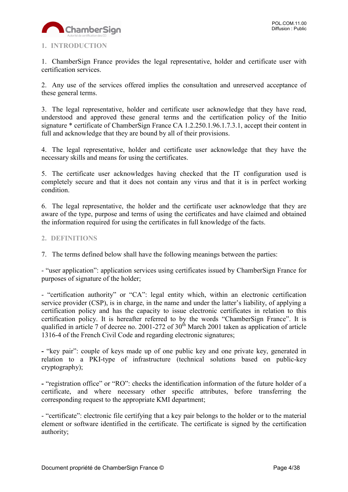

# <span id="page-3-0"></span>**1. INTRODUCTION**

1. ChamberSign France provides the legal representative, holder and certificate user with certification services.

2. Any use of the services offered implies the consultation and unreserved acceptance of these general terms.

3. The legal representative, holder and certificate user acknowledge that they have read, understood and approved these general terms and the certification policy of the Initio signature \* certificate of ChamberSign France CA 1.2.250.1.96.1.7.3.1, accept their content in full and acknowledge that they are bound by all of their provisions.

4. The legal representative, holder and certificate user acknowledge that they have the necessary skills and means for using the certificates.

5. The certificate user acknowledges having checked that the IT configuration used is completely secure and that it does not contain any virus and that it is in perfect working condition.

6. The legal representative, the holder and the certificate user acknowledge that they are aware of the type, purpose and terms of using the certificates and have claimed and obtained the information required for using the certificates in full knowledge of the facts.

#### <span id="page-3-1"></span>**2. DEFINITIONS**

7. The terms defined below shall have the following meanings between the parties:

- "user application": application services using certificates issued by ChamberSign France for purposes of signature of the holder;

- "certification authority" or "CA": legal entity which, within an electronic certification service provider (CSP), is in charge, in the name and under the latter's liability, of applying a certification policy and has the capacity to issue electronic certificates in relation to this certification policy. It is hereafter referred to by the words "ChamberSign France". It is qualified in article 7 of decree no. 2001-272 of  $30<sup>th</sup>$  March 2001 taken as application of article 1316-4 of the French Civil Code and regarding electronic signatures;

**-** "key pair": couple of keys made up of one public key and one private key, generated in relation to a PKI-type of infrastructure (technical solutions based on public-key cryptography);

**-** "registration office" or "RO": checks the identification information of the future holder of a certificate, and where necessary other specific attributes, before transferring the corresponding request to the appropriate KMI department;

- "certificate": electronic file certifying that a key pair belongs to the holder or to the material element or software identified in the certificate. The certificate is signed by the certification authority;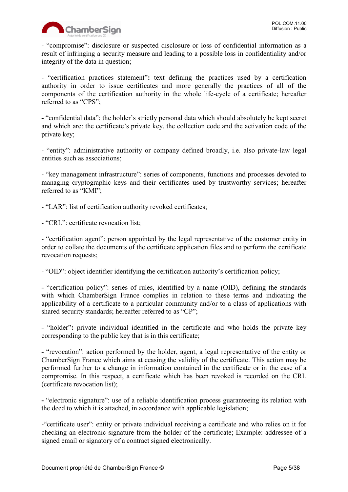

- "compromise": disclosure or suspected disclosure or loss of confidential information as a result of infringing a security measure and leading to a possible loss in confidentiality and/or integrity of the data in question;

- "certification practices statement"**:** text defining the practices used by a certification authority in order to issue certificates and more generally the practices of all of the components of the certification authority in the whole life-cycle of a certificate; hereafter referred to as "CPS";

**-** "confidential data": the holder's strictly personal data which should absolutely be kept secret and which are: the certificate's private key, the collection code and the activation code of the private key;

- "entity": administrative authority or company defined broadly, i.e. also private-law legal entities such as associations;

- "key management infrastructure": series of components, functions and processes devoted to managing cryptographic keys and their certificates used by trustworthy services; hereafter referred to as "KMI";

- "LAR": list of certification authority revoked certificates;

- "CRL": certificate revocation list;

- "certification agent": person appointed by the legal representative of the customer entity in order to collate the documents of the certificate application files and to perform the certificate revocation requests;

- "OID": object identifier identifying the certification authority's certification policy;

**-** "certification policy": series of rules, identified by a name (OID), defining the standards with which ChamberSign France complies in relation to these terms and indicating the applicability of a certificate to a particular community and/or to a class of applications with shared security standards; hereafter referred to as "CP";

**-** "holder"**:** private individual identified in the certificate and who holds the private key corresponding to the public key that is in this certificate;

**-** "revocation": action performed by the holder, agent, a legal representative of the entity or ChamberSign France which aims at ceasing the validity of the certificate. This action may be performed further to a change in information contained in the certificate or in the case of a compromise. In this respect, a certificate which has been revoked is recorded on the CRL (certificate revocation list);

**-** "electronic signature": use of a reliable identification process guaranteeing its relation with the deed to which it is attached, in accordance with applicable legislation;

-"certificate user": entity or private individual receiving a certificate and who relies on it for checking an electronic signature from the holder of the certificate; Example: addressee of a signed email or signatory of a contract signed electronically.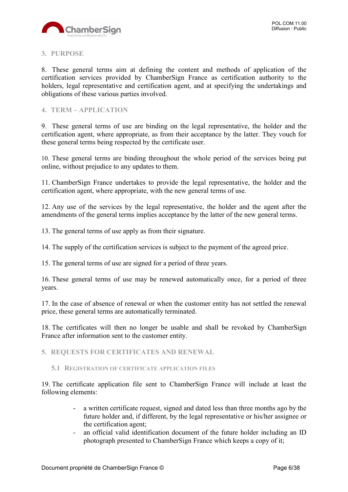

#### <span id="page-5-0"></span>**3. PURPOSE**

8. These general terms aim at defining the content and methods of application of the certification services provided by ChamberSign France as certification authority to the holders, legal representative and certification agent, and at specifying the undertakings and obligations of these various parties involved.

# <span id="page-5-1"></span>**4. TERM – APPLICATION**

9. These general terms of use are binding on the legal representative, the holder and the certification agent, where appropriate, as from their acceptance by the latter. They vouch for these general terms being respected by the certificate user.

10. These general terms are binding throughout the whole period of the services being put online, without prejudice to any updates to them.

11. ChamberSign France undertakes to provide the legal representative, the holder and the certification agent, where appropriate, with the new general terms of use.

12. Any use of the services by the legal representative, the holder and the agent after the amendments of the general terms implies acceptance by the latter of the new general terms.

13. The general terms of use apply as from their signature.

14. The supply of the certification services is subject to the payment of the agreed price.

15. The general terms of use are signed for a period of three years.

16. These general terms of use may be renewed automatically once, for a period of three years.

17. In the case of absence of renewal or when the customer entity has not settled the renewal price, these general terms are automatically terminated.

18. The certificates will then no longer be usable and shall be revoked by ChamberSign France after information sent to the customer entity.

<span id="page-5-2"></span>**5. REQUESTS FOR CERTIFICATES AND RENEWAL**

<span id="page-5-3"></span>**5.1 REGISTRATION OF CERTIFICATE APPLICATION FILES**

19. The certificate application file sent to ChamberSign France will include at least the following elements:

- a written certificate request, signed and dated less than three months ago by the future holder and, if different, by the legal representative or his/her assignee or the certification agent;
- an official valid identification document of the future holder including an ID photograph presented to ChamberSign France which keeps a copy of it;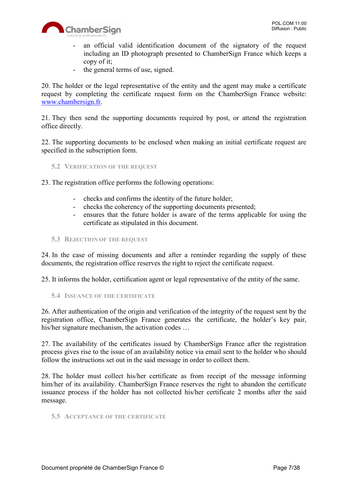

- an official valid identification document of the signatory of the request including an ID photograph presented to ChamberSign France which keeps a copy of it;
- the general terms of use, signed.

20. The holder or the legal representative of the entity and the agent may make a certificate request by completing the certificate request form on the ChamberSign France website: [www.chambersign.fr.](http://www.chambersign.fr/)

21. They then send the supporting documents required by post, or attend the registration office directly.

22. The supporting documents to be enclosed when making an initial certificate request are specified in the subscription form.

<span id="page-6-0"></span>**5.2 VERIFICATION OF THE REQUEST**

23. The registration office performs the following operations:

- checks and confirms the identity of the future holder;
- checks the coherency of the supporting documents presented;
- ensures that the future holder is aware of the terms applicable for using the certificate as stipulated in this document.
- <span id="page-6-1"></span>**5.3 REJECTION OF THE REQUEST**

24. In the case of missing documents and after a reminder regarding the supply of these documents, the registration office reserves the right to reject the certificate request.

25. It informs the holder, certification agent or legal representative of the entity of the same.

<span id="page-6-2"></span>**5.4 ISSUANCE OF THE CERTIFICATE**

26. After authentication of the origin and verification of the integrity of the request sent by the registration office, ChamberSign France generates the certificate, the holder's key pair, his/her signature mechanism, the activation codes ...

27. The availability of the certificates issued by ChamberSign France after the registration process gives rise to the issue of an availability notice via email sent to the holder who should follow the instructions set out in the said message in order to collect them.

28. The holder must collect his/her certificate as from receipt of the message informing him/her of its availability. ChamberSign France reserves the right to abandon the certificate issuance process if the holder has not collected his/her certificate 2 months after the said message.

#### <span id="page-6-3"></span>**5.5 ACCEPTANCE OF THE CERTIFICATE**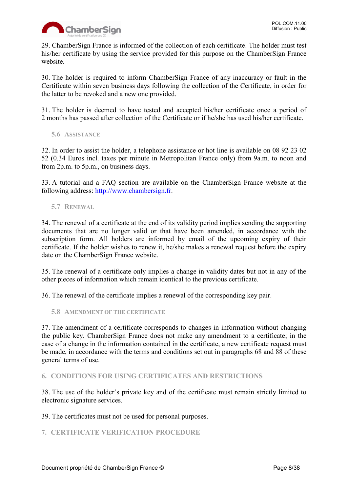

29. ChamberSign France is informed of the collection of each certificate. The holder must test his/her certificate by using the service provided for this purpose on the ChamberSign France website.

30. The holder is required to inform ChamberSign France of any inaccuracy or fault in the Certificate within seven business days following the collection of the Certificate, in order for the latter to be revoked and a new one provided.

31. The holder is deemed to have tested and accepted his/her certificate once a period of 2 months has passed after collection of the Certificate or if he/she has used his/her certificate.

<span id="page-7-0"></span>**5.6 ASSISTANCE**

32. In order to assist the holder, a telephone assistance or hot line is available on 08 92 23 02 52 (0.34 Euros incl. taxes per minute in Metropolitan France only) from 9a.m. to noon and from 2p.m. to 5p.m., on business days.

33. A tutorial and a FAQ section are available on the ChamberSign France website at the following address: [http://www.chambersign.fr.](http://www.chambersign.fr/)

<span id="page-7-1"></span>**5.7 RENEWAL**

34. The renewal of a certificate at the end of its validity period implies sending the supporting documents that are no longer valid or that have been amended, in accordance with the subscription form. All holders are informed by email of the upcoming expiry of their certificate. If the holder wishes to renew it, he/she makes a renewal request before the expiry date on the ChamberSign France website.

35. The renewal of a certificate only implies a change in validity dates but not in any of the other pieces of information which remain identical to the previous certificate.

36. The renewal of the certificate implies a renewal of the corresponding key pair.

<span id="page-7-2"></span>**5.8 AMENDMENT OF THE CERTIFICATE**

37. The amendment of a certificate corresponds to changes in information without changing the public key. ChamberSign France does not make any amendment to a certificate; in the case of a change in the information contained in the certificate, a new certificate request must be made, in accordance with the terms and conditions set out in paragraphs 68 and 88 of these general terms of use.

#### <span id="page-7-3"></span>**6. CONDITIONS FOR USING CERTIFICATES AND RESTRICTIONS**

38. The use of the holder's private key and of the certificate must remain strictly limited to electronic signature services.

39. The certificates must not be used for personal purposes.

#### <span id="page-7-4"></span>**7. CERTIFICATE VERIFICATION PROCEDURE**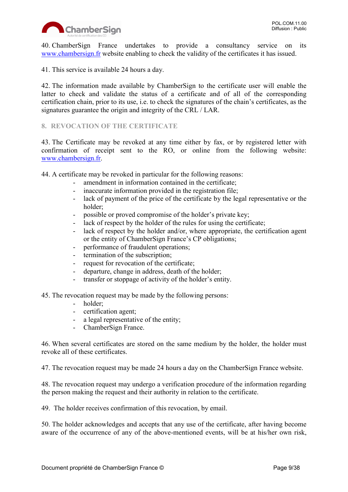

40. ChamberSign France undertakes to provide a consultancy service on its [www.chambersign.fr](http://www.chambersign.fr/) website enabling to check the validity of the certificates it has issued.

41. This service is available 24 hours a day.

42. The information made available by ChamberSign to the certificate user will enable the latter to check and validate the status of a certificate and of all of the corresponding certification chain, prior to its use, i.e. to check the signatures of the chain's certificates, as the signatures guarantee the origin and integrity of the CRL / LAR.

# <span id="page-8-0"></span>**8. REVOCATION OF THE CERTIFICATE**

43. The Certificate may be revoked at any time either by fax, or by registered letter with confirmation of receipt sent to the RO, or online from the following website: [www.chambersign.fr.](http://www.chambersign.fr/)

44. A certificate may be revoked in particular for the following reasons:

- amendment in information contained in the certificate:
- inaccurate information provided in the registration file;
- lack of payment of the price of the certificate by the legal representative or the holder;
- possible or proved compromise of the holder's private key;
- lack of respect by the holder of the rules for using the certificate;
- lack of respect by the holder and/or, where appropriate, the certification agent or the entity of ChamberSign France's CP obligations;
- performance of fraudulent operations;
- termination of the subscription;
- request for revocation of the certificate;
- departure, change in address, death of the holder;
- transfer or stoppage of activity of the holder's entity.

45. The revocation request may be made by the following persons:

- holder;
- certification agent;
- a legal representative of the entity;
- ChamberSign France.

46. When several certificates are stored on the same medium by the holder, the holder must revoke all of these certificates.

47. The revocation request may be made 24 hours a day on the ChamberSign France website.

48. The revocation request may undergo a verification procedure of the information regarding the person making the request and their authority in relation to the certificate.

49. The holder receives confirmation of this revocation, by email.

50. The holder acknowledges and accepts that any use of the certificate, after having become aware of the occurrence of any of the above-mentioned events, will be at his/her own risk,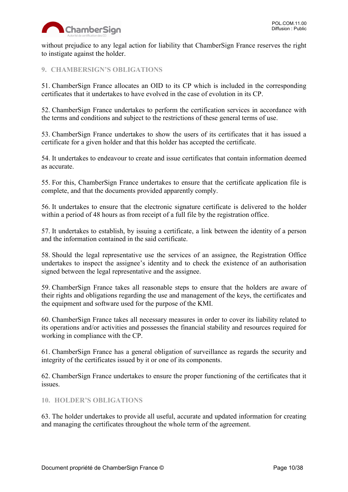

without prejudice to any legal action for liability that ChamberSign France reserves the right to instigate against the holder.

# <span id="page-9-0"></span>**9. CHAMBERSIGN'S OBLIGATIONS**

51. ChamberSign France allocates an OID to its CP which is included in the corresponding certificates that it undertakes to have evolved in the case of evolution in its CP.

52. ChamberSign France undertakes to perform the certification services in accordance with the terms and conditions and subject to the restrictions of these general terms of use.

53. ChamberSign France undertakes to show the users of its certificates that it has issued a certificate for a given holder and that this holder has accepted the certificate.

54. It undertakes to endeavour to create and issue certificates that contain information deemed as accurate.

55. For this, ChamberSign France undertakes to ensure that the certificate application file is complete, and that the documents provided apparently comply.

56. It undertakes to ensure that the electronic signature certificate is delivered to the holder within a period of 48 hours as from receipt of a full file by the registration office.

57. It undertakes to establish, by issuing a certificate, a link between the identity of a person and the information contained in the said certificate.

58. Should the legal representative use the services of an assignee, the Registration Office undertakes to inspect the assignee's identity and to check the existence of an authorisation signed between the legal representative and the assignee.

59. ChamberSign France takes all reasonable steps to ensure that the holders are aware of their rights and obligations regarding the use and management of the keys, the certificates and the equipment and software used for the purpose of the KMI.

60. ChamberSign France takes all necessary measures in order to cover its liability related to its operations and/or activities and possesses the financial stability and resources required for working in compliance with the CP.

61. ChamberSign France has a general obligation of surveillance as regards the security and integrity of the certificates issued by it or one of its components.

62. ChamberSign France undertakes to ensure the proper functioning of the certificates that it issues.

#### <span id="page-9-1"></span>**10. HOLDER'S OBLIGATIONS**

63. The holder undertakes to provide all useful, accurate and updated information for creating and managing the certificates throughout the whole term of the agreement.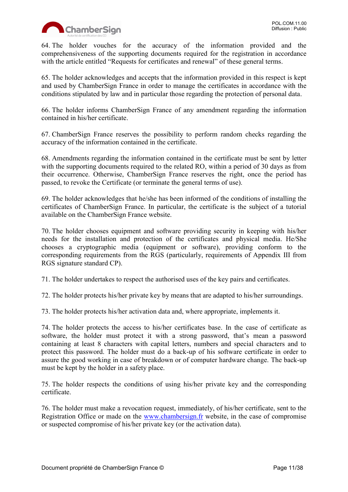

64. The holder vouches for the accuracy of the information provided and the comprehensiveness of the supporting documents required for the registration in accordance with the article entitled "Requests for certificates and renewal" of these general terms.

65. The holder acknowledges and accepts that the information provided in this respect is kept and used by ChamberSign France in order to manage the certificates in accordance with the conditions stipulated by law and in particular those regarding the protection of personal data.

66. The holder informs ChamberSign France of any amendment regarding the information contained in his/her certificate.

67. ChamberSign France reserves the possibility to perform random checks regarding the accuracy of the information contained in the certificate.

68. Amendments regarding the information contained in the certificate must be sent by letter with the supporting documents required to the related RO, within a period of 30 days as from their occurrence. Otherwise, ChamberSign France reserves the right, once the period has passed, to revoke the Certificate (or terminate the general terms of use).

69. The holder acknowledges that he/she has been informed of the conditions of installing the certificates of ChamberSign France. In particular, the certificate is the subject of a tutorial available on the ChamberSign France website.

70. The holder chooses equipment and software providing security in keeping with his/her needs for the installation and protection of the certificates and physical media. He/She chooses a cryptographic media (equipment or software), providing conform to the corresponding requirements from the RGS (particularly, requirements of Appendix III from RGS signature standard CP).

71. The holder undertakes to respect the authorised uses of the key pairs and certificates.

72. The holder protects his/her private key by means that are adapted to his/her surroundings.

73. The holder protects his/her activation data and, where appropriate, implements it.

74. The holder protects the access to his/her certificates base. In the case of certificate as software, the holder must protect it with a strong password, that's mean a password containing at least 8 characters with capital letters, numbers and special characters and to protect this password. The holder must do a back-up of his software certificate in order to assure the good working in case of breakdown or of computer hardware change. The back-up must be kept by the holder in a safety place.

75. The holder respects the conditions of using his/her private key and the corresponding certificate.

76. The holder must make a revocation request, immediately, of his/her certificate, sent to the Registration Office or made on the [www.chambersign.fr](http://www.chambersign.fr/) website, in the case of compromise or suspected compromise of his/her private key (or the activation data).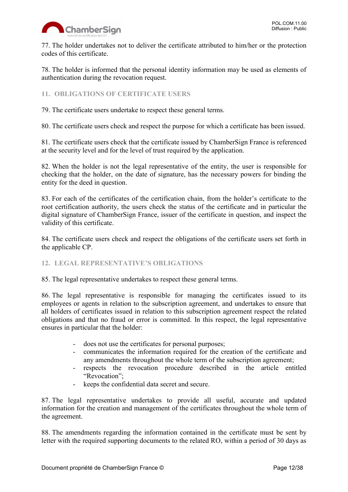

77. The holder undertakes not to deliver the certificate attributed to him/her or the protection codes of this certificate.

78. The holder is informed that the personal identity information may be used as elements of authentication during the revocation request.

<span id="page-11-0"></span>**11. OBLIGATIONS OF CERTIFICATE USERS**

79. The certificate users undertake to respect these general terms.

80. The certificate users check and respect the purpose for which a certificate has been issued.

81. The certificate users check that the certificate issued by ChamberSign France is referenced at the security level and for the level of trust required by the application.

82. When the holder is not the legal representative of the entity, the user is responsible for checking that the holder, on the date of signature, has the necessary powers for binding the entity for the deed in question.

83. For each of the certificates of the certification chain, from the holder's certificate to the root certification authority, the users check the status of the certificate and in particular the digital signature of ChamberSign France, issuer of the certificate in question, and inspect the validity of this certificate.

84. The certificate users check and respect the obligations of the certificate users set forth in the applicable CP.

# <span id="page-11-1"></span>**12. LEGAL REPRESENTATIVE'S OBLIGATIONS**

85. The legal representative undertakes to respect these general terms.

86. The legal representative is responsible for managing the certificates issued to its employees or agents in relation to the subscription agreement, and undertakes to ensure that all holders of certificates issued in relation to this subscription agreement respect the related obligations and that no fraud or error is committed. In this respect, the legal representative ensures in particular that the holder:

- does not use the certificates for personal purposes;
- communicates the information required for the creation of the certificate and any amendments throughout the whole term of the subscription agreement;
- respects the revocation procedure described in the article entitled "Revocation":
- keeps the confidential data secret and secure.

87. The legal representative undertakes to provide all useful, accurate and updated information for the creation and management of the certificates throughout the whole term of the agreement.

88. The amendments regarding the information contained in the certificate must be sent by letter with the required supporting documents to the related RO, within a period of 30 days as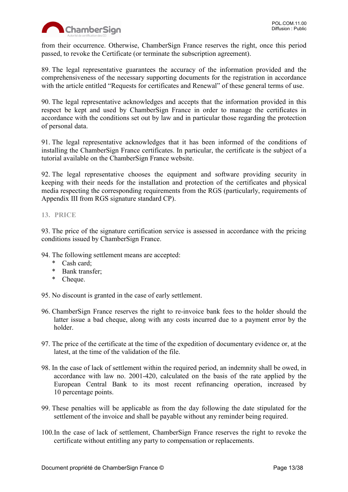

from their occurrence. Otherwise, ChamberSign France reserves the right, once this period passed, to revoke the Certificate (or terminate the subscription agreement).

89. The legal representative guarantees the accuracy of the information provided and the comprehensiveness of the necessary supporting documents for the registration in accordance with the article entitled "Requests for certificates and Renewal" of these general terms of use.

90. The legal representative acknowledges and accepts that the information provided in this respect be kept and used by ChamberSign France in order to manage the certificates in accordance with the conditions set out by law and in particular those regarding the protection of personal data.

91. The legal representative acknowledges that it has been informed of the conditions of installing the ChamberSign France certificates. In particular, the certificate is the subject of a tutorial available on the ChamberSign France website.

92. The legal representative chooses the equipment and software providing security in keeping with their needs for the installation and protection of the certificates and physical media respecting the corresponding requirements from the RGS (particularly, requirements of Appendix III from RGS signature standard CP).

# <span id="page-12-0"></span>**13. PRICE**

93. The price of the signature certification service is assessed in accordance with the pricing conditions issued by ChamberSign France.

- 94. The following settlement means are accepted:
	- \* Cash card;
	- \* Bank transfer;
	- \* Cheque.

95. No discount is granted in the case of early settlement.

- 96. ChamberSign France reserves the right to re-invoice bank fees to the holder should the latter issue a bad cheque, along with any costs incurred due to a payment error by the holder.
- 97. The price of the certificate at the time of the expedition of documentary evidence or, at the latest, at the time of the validation of the file.
- 98. In the case of lack of settlement within the required period, an indemnity shall be owed, in accordance with law no. 2001-420, calculated on the basis of the rate applied by the European Central Bank to its most recent refinancing operation, increased by 10 percentage points.
- 99. These penalties will be applicable as from the day following the date stipulated for the settlement of the invoice and shall be payable without any reminder being required.
- 100.In the case of lack of settlement, ChamberSign France reserves the right to revoke the certificate without entitling any party to compensation or replacements.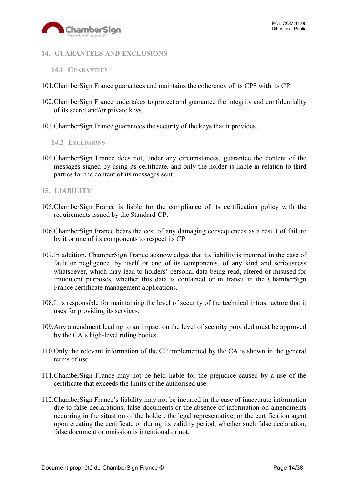

#### <span id="page-13-0"></span>**14. GUARANTEES AND EXCLUSIONS**

- <span id="page-13-1"></span>**14.1 GUARANTEES**
- 101.ChamberSign France guarantees and maintains the coherency of its CPS with its CP.
- 102.ChamberSign France undertakes to protect and guarantee the integrity and confidentiality of its secret and/or private keys.
- 103.ChamberSign France guarantees the security of the keys that it provides.

#### <span id="page-13-2"></span>**14.2 EXCLUSIONS**

104.ChamberSign France does not, under any circumstances, guarantee the content of the messages signed by using its certificate, and only the holder is liable in relation to third parties for the content of its messages sent.

#### <span id="page-13-3"></span>**15. LIABILITY**

- 105.ChamberSign France is liable for the compliance of its certification policy with the requirements issued by the Standard-CP.
- 106.ChamberSign France bears the cost of any damaging consequences as a result of failure by it or one of its components to respect its CP.
- 107.In addition, ChamberSign France acknowledges that its liability is incurred in the case of fault or negligence, by itself or one of its components, of any kind and seriousness whatsoever, which may lead to holders' personal data being read, altered or misused for fraudulent purposes, whether this data is contained or in transit in the ChamberSign France certificate management applications.
- 108.It is responsible for maintaining the level of security of the technical infrastructure that it uses for providing its services.
- 109.Any amendment leading to an impact on the level of security provided must be approved by the CA's high-level ruling bodies.
- 110.Only the relevant information of the CP implemented by the CA is shown in the general terms of use.
- 111.ChamberSign France may not be held liable for the prejudice caused by a use of the certificate that exceeds the limits of the authorised use.
- 112.ChamberSign France's liability may not be incurred in the case of inaccurate information due to false declarations, false documents or the absence of information on amendments occurring in the situation of the holder, the legal representative, or the certification agent upon creating the certificate or during its validity period, whether such false declaration, false document or omission is intentional or not.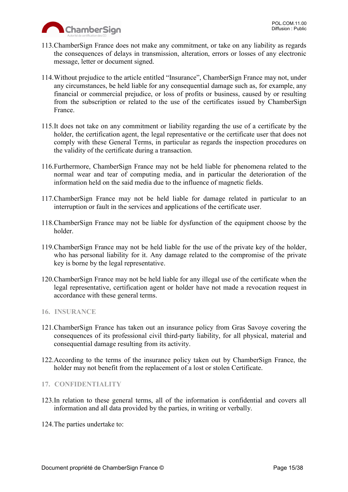

- 113.ChamberSign France does not make any commitment, or take on any liability as regards the consequences of delays in transmission, alteration, errors or losses of any electronic message, letter or document signed.
- 114.Without prejudice to the article entitled "Insurance", ChamberSign France may not, under any circumstances, be held liable for any consequential damage such as, for example, any financial or commercial prejudice, or loss of profits or business, caused by or resulting from the subscription or related to the use of the certificates issued by ChamberSign France.
- 115.It does not take on any commitment or liability regarding the use of a certificate by the holder, the certification agent, the legal representative or the certificate user that does not comply with these General Terms, in particular as regards the inspection procedures on the validity of the certificate during a transaction.
- 116.Furthermore, ChamberSign France may not be held liable for phenomena related to the normal wear and tear of computing media, and in particular the deterioration of the information held on the said media due to the influence of magnetic fields.
- 117.ChamberSign France may not be held liable for damage related in particular to an interruption or fault in the services and applications of the certificate user.
- 118.ChamberSign France may not be liable for dysfunction of the equipment choose by the holder.
- 119.ChamberSign France may not be held liable for the use of the private key of the holder, who has personal liability for it. Any damage related to the compromise of the private key is borne by the legal representative.
- 120.ChamberSign France may not be held liable for any illegal use of the certificate when the legal representative, certification agent or holder have not made a revocation request in accordance with these general terms.
- <span id="page-14-0"></span>**16. INSURANCE**
- 121.ChamberSign France has taken out an insurance policy from Gras Savoye covering the consequences of its professional civil third-party liability, for all physical, material and consequential damage resulting from its activity.
- 122.According to the terms of the insurance policy taken out by ChamberSign France, the holder may not benefit from the replacement of a lost or stolen Certificate.

#### <span id="page-14-1"></span>**17. CONFIDENTIALITY**

- 123.In relation to these general terms, all of the information is confidential and covers all information and all data provided by the parties, in writing or verbally.
- 124.The parties undertake to: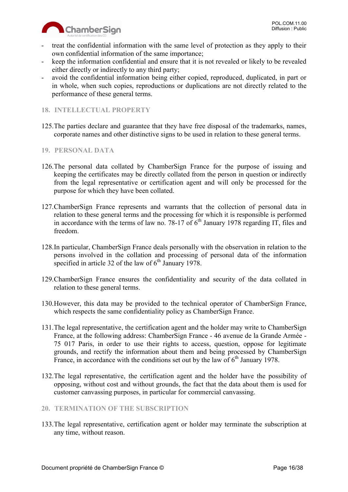

- treat the confidential information with the same level of protection as they apply to their own confidential information of the same importance;
- keep the information confidential and ensure that it is not revealed or likely to be revealed either directly or indirectly to any third party;
- avoid the confidential information being either copied, reproduced, duplicated, in part or in whole, when such copies, reproductions or duplications are not directly related to the performance of these general terms.

# <span id="page-15-0"></span>**18. INTELLECTUAL PROPERTY**

125.The parties declare and guarantee that they have free disposal of the trademarks, names, corporate names and other distinctive signs to be used in relation to these general terms.

#### <span id="page-15-1"></span>**19. PERSONAL DATA**

- 126.The personal data collated by ChamberSign France for the purpose of issuing and keeping the certificates may be directly collated from the person in question or indirectly from the legal representative or certification agent and will only be processed for the purpose for which they have been collated.
- 127.ChamberSign France represents and warrants that the collection of personal data in relation to these general terms and the processing for which it is responsible is performed in accordance with the terms of law no. 78-17 of  $6<sup>th</sup>$  January 1978 regarding IT, files and freedom.
- 128.In particular, ChamberSign France deals personally with the observation in relation to the persons involved in the collation and processing of personal data of the information specified in article 32 of the law of  $6<sup>th</sup>$  January 1978.
- 129.ChamberSign France ensures the confidentiality and security of the data collated in relation to these general terms.
- 130.However, this data may be provided to the technical operator of ChamberSign France, which respects the same confidentiality policy as ChamberSign France.
- 131.The legal representative, the certification agent and the holder may write to ChamberSign France, at the following address: ChamberSign France - 46 avenue de la Grande Armée - 75 017 Paris, in order to use their rights to access, question, oppose for legitimate grounds, and rectify the information about them and being processed by ChamberSign France, in accordance with the conditions set out by the law of  $6<sup>th</sup>$  January 1978.
- 132.The legal representative, the certification agent and the holder have the possibility of opposing, without cost and without grounds, the fact that the data about them is used for customer canvassing purposes, in particular for commercial canvassing.

#### <span id="page-15-2"></span>**20. TERMINATION OF THE SUBSCRIPTION**

133.The legal representative, certification agent or holder may terminate the subscription at any time, without reason.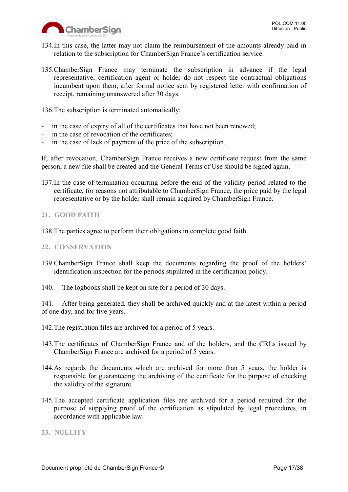

- 134.In this case, the latter may not claim the reimbursement of the amounts already paid in relation to the subscription for ChamberSign France's certification service.
- 135.ChamberSign France may terminate the subscription in advance if the legal representative, certification agent or holder do not respect the contractual obligations incumbent upon them, after formal notice sent by registered letter with confirmation of receipt, remaining unanswered after 30 days.

136.The subscription is terminated automatically:

- in the case of expiry of all of the certificates that have not been renewed;
- in the case of revocation of the certificates:
- in the case of lack of payment of the price of the subscription.

If, after revocation, ChamberSign France receives a new certificate request from the same person, a new file shall be created and the General Terms of Use should be signed again.

137.In the case of termination occurring before the end of the validity period related to the certificate, for reasons not attributable to ChamberSign France, the price paid by the legal representative or by the holder shall remain acquired by ChamberSign France.

#### <span id="page-16-0"></span>**21. GOOD FAITH**

138.The parties agree to perform their obligations in complete good faith.

#### <span id="page-16-1"></span>**22. CONSERVATION**

- 139.ChamberSign France shall keep the documents regarding the proof of the holders' identification inspection for the periods stipulated in the certification policy.
- 140. The logbooks shall be kept on site for a period of 30 days.

141. After being generated, they shall be archived quickly and at the latest within a period of one day, and for five years.

- 142.The registration files are archived for a period of 5 years.
- 143.The certificates of ChamberSign France and of the holders, and the CRLs issued by ChamberSign France are archived for a period of 5 years.
- 144.As regards the documents which are archived for more than 5 years, the holder is responsible for guaranteeing the archiving of the certificate for the purpose of checking the validity of the signature.
- 145.The accepted certificate application files are archived for a period required for the purpose of supplying proof of the certification as stipulated by legal procedures, in accordance with applicable law.

#### <span id="page-16-2"></span>**23. NULLITY**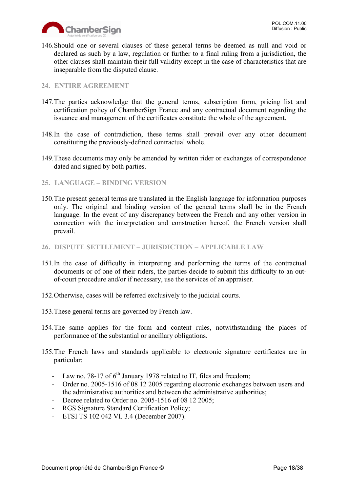

146.Should one or several clauses of these general terms be deemed as null and void or declared as such by a law, regulation or further to a final ruling from a jurisdiction, the other clauses shall maintain their full validity except in the case of characteristics that are inseparable from the disputed clause.

#### <span id="page-17-0"></span>**24. ENTIRE AGREEMENT**

- 147.The parties acknowledge that the general terms, subscription form, pricing list and certification policy of ChamberSign France and any contractual document regarding the issuance and management of the certificates constitute the whole of the agreement.
- 148.In the case of contradiction, these terms shall prevail over any other document constituting the previously-defined contractual whole.
- 149.These documents may only be amended by written rider or exchanges of correspondence dated and signed by both parties.
- <span id="page-17-1"></span>**25. LANGUAGE – BINDING VERSION**
- 150.The present general terms are translated in the English language for information purposes only. The original and binding version of the general terms shall be in the French language. In the event of any discrepancy between the French and any other version in connection with the interpretation and construction hereof, the French version shall prevail.
- <span id="page-17-2"></span>**26. DISPUTE SETTLEMENT – JURISDICTION – APPLICABLE LAW**
- 151.In the case of difficulty in interpreting and performing the terms of the contractual documents or of one of their riders, the parties decide to submit this difficulty to an outof-court procedure and/or if necessary, use the services of an appraiser.
- 152.Otherwise, cases will be referred exclusively to the judicial courts.
- 153.These general terms are governed by French law.
- 154.The same applies for the form and content rules, notwithstanding the places of performance of the substantial or ancillary obligations.
- 155.The French laws and standards applicable to electronic signature certificates are in particular:
	- Law no. 78-17 of  $6<sup>th</sup>$  January 1978 related to IT, files and freedom;
	- Order no. 2005-1516 of 08 12 2005 regarding electronic exchanges between users and the administrative authorities and between the administrative authorities;
	- Decree related to Order no. 2005-1516 of 08 12 2005;
	- RGS Signature Standard Certification Policy;
	- ETSI TS 102 042 VI. 3.4 (December 2007).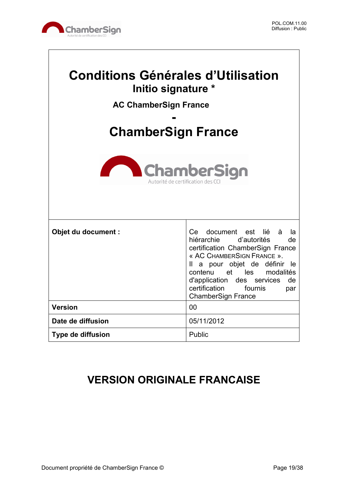

 $\overline{\phantom{a}}$ 

| <b>Conditions Générales d'Utilisation</b><br>Initio signature *<br><b>AC ChamberSign France</b><br><b>ChamberSign France</b><br><b>ChamberSign</b><br>Autorité de certification des C |                                                                                                                                                                                                                                                                                                                  |  |
|---------------------------------------------------------------------------------------------------------------------------------------------------------------------------------------|------------------------------------------------------------------------------------------------------------------------------------------------------------------------------------------------------------------------------------------------------------------------------------------------------------------|--|
| Objet du document :                                                                                                                                                                   | document est<br>lié<br>à<br>Ce<br>la<br>hiérarchie d'autorités<br>de<br>certification ChamberSign France<br>« AC CHAMBERSIGN FRANCE ».<br>Il a pour objet de définir<br>le le<br>contenu et les modalités<br>d'application<br>des services<br>de<br>certification<br>fournis<br>par<br><b>ChamberSign France</b> |  |
| <b>Version</b>                                                                                                                                                                        | 00                                                                                                                                                                                                                                                                                                               |  |
| Date de diffusion                                                                                                                                                                     | 05/11/2012                                                                                                                                                                                                                                                                                                       |  |
| Type de diffusion                                                                                                                                                                     | Public                                                                                                                                                                                                                                                                                                           |  |

# **VERSION ORIGINALE FRANCAISE**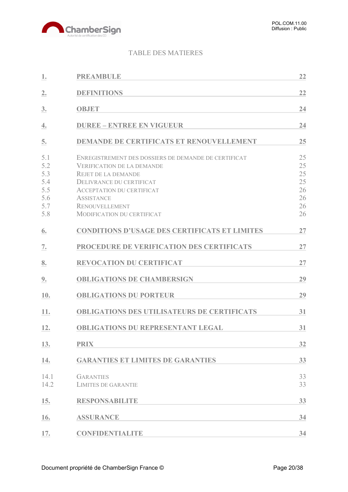

# TABLE DES MATIERES

| 1.                                                   | <b>PREAMBULE</b>                                                                                                                                                                                                                                                           | 22                                           |
|------------------------------------------------------|----------------------------------------------------------------------------------------------------------------------------------------------------------------------------------------------------------------------------------------------------------------------------|----------------------------------------------|
| 2.                                                   | <b>DEFINITIONS</b>                                                                                                                                                                                                                                                         | 22                                           |
| 3.                                                   | <b>OBJET</b>                                                                                                                                                                                                                                                               | 24                                           |
| 4.                                                   | <b>DUREE - ENTREE EN VIGUEUR</b>                                                                                                                                                                                                                                           | 24                                           |
| 5.                                                   | <b>DEMANDE DE CERTIFICATS ET RENOUVELLEMENT</b>                                                                                                                                                                                                                            | 25                                           |
| 5.1<br>5.2<br>5.3<br>5.4<br>5.5<br>5.6<br>5.7<br>5.8 | ENREGISTREMENT DES DOSSIERS DE DEMANDE DE CERTIFICAT<br><b>VERIFICATION DE LA DEMANDE</b><br><b>REJET DE LA DEMANDE</b><br>DELIVRANCE DU CERTIFICAT<br><b>ACCEPTATION DU CERTIFICAT</b><br><b>ASSISTANCE</b><br><b>RENOUVELLEMENT</b><br><b>MODIFICATION DU CERTIFICAT</b> | 25<br>25<br>25<br>25<br>26<br>26<br>26<br>26 |
| 6.                                                   | <b>CONDITIONS D'USAGE DES CERTIFICATS ET LIMITES</b>                                                                                                                                                                                                                       | 27                                           |
| 7.                                                   | PROCEDURE DE VERIFICATION DES CERTIFICATS                                                                                                                                                                                                                                  | 27                                           |
| 8.                                                   | <b>REVOCATION DU CERTIFICAT</b>                                                                                                                                                                                                                                            | 27                                           |
| 9.                                                   | <b>OBLIGATIONS DE CHAMBERSIGN</b>                                                                                                                                                                                                                                          | 29                                           |
| 10.                                                  | <b>OBLIGATIONS DU PORTEUR</b>                                                                                                                                                                                                                                              | 29                                           |
| 11.                                                  | <b>OBLIGATIONS DES UTILISATEURS DE CERTIFICATS</b>                                                                                                                                                                                                                         | 31                                           |
| 12.                                                  | <b>OBLIGATIONS DU REPRESENTANT LEGAL</b>                                                                                                                                                                                                                                   | 31                                           |
| 13.                                                  | <b>PRIX</b>                                                                                                                                                                                                                                                                | 32                                           |
| 14.                                                  | <b>GARANTIES ET LIMITES DE GARANTIES</b>                                                                                                                                                                                                                                   | 33                                           |
| 14.1<br>14.2                                         | <b>GARANTIES</b><br><b>LIMITES DE GARANTIE</b>                                                                                                                                                                                                                             | 33<br>33                                     |
| 15.                                                  | <b>RESPONSABILITE</b>                                                                                                                                                                                                                                                      | 33                                           |
| 16.                                                  | <b>ASSURANCE</b>                                                                                                                                                                                                                                                           | 34                                           |
| 17.                                                  | <b>CONFIDENTIALITE</b>                                                                                                                                                                                                                                                     | 34                                           |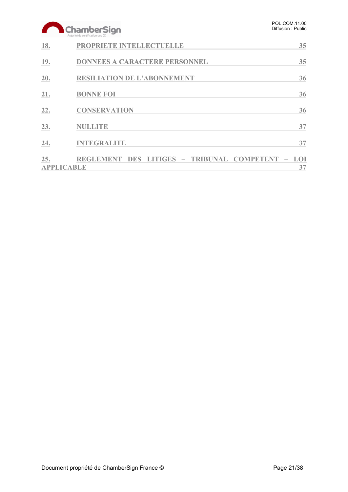|     | ChamberSign<br>Autorité de certification des CCI         | POL.COM.11.00<br>Diffusion: Public |
|-----|----------------------------------------------------------|------------------------------------|
| 18. | PROPRIETE INTELLECTUELLE                                 | 35                                 |
| 19. | <b>DONNEES A CARACTERE PERSONNEL</b>                     | 35                                 |
| 20. | <b>RESILIATION DE L'ABONNEMENT</b>                       | 36                                 |
| 21. | <b>BONNE FOI</b>                                         | 36                                 |
| 22. | <b>CONSERVATION</b>                                      | 36                                 |
| 23. | <b>NULLITE</b>                                           | 37                                 |
| 24. | <b>INTEGRALITE</b>                                       | 37                                 |
| 25. | REGLEMENT DES LITIGES - TRIBUNAL COMPETENT<br>APPLICABLE | LOI<br>37                          |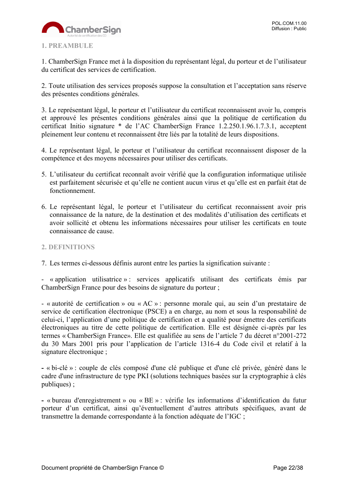

# <span id="page-21-0"></span>**1. PREAMBULE**

1. ChamberSign France met à la disposition du représentant légal, du porteur et de l'utilisateur du certificat des services de certification.

2. Toute utilisation des services proposés suppose la consultation et l'acceptation sans réserve des présentes conditions générales.

3. Le représentant légal, le porteur et l'utilisateur du certificat reconnaissent avoir lu, compris et approuvé les présentes conditions générales ainsi que la politique de certification du certificat Initio signature \* de l'AC ChamberSign France 1.2.250.1.96.1.7.3.1, acceptent pleinement leur contenu et reconnaissent être liés par la totalité de leurs dispositions.

4. Le représentant légal, le porteur et l'utilisateur du certificat reconnaissent disposer de la compétence et des moyens nécessaires pour utiliser des certificats.

- 5. L'utilisateur du certificat reconnaît avoir vérifié que la configuration informatique utilisée est parfaitement sécurisée et qu'elle ne contient aucun virus et qu'elle est en parfait état de fonctionnement.
- 6. Le représentant légal, le porteur et l'utilisateur du certificat reconnaissent avoir pris connaissance de la nature, de la destination et des modalités d'utilisation des certificats et avoir sollicité et obtenu les informations nécessaires pour utiliser les certificats en toute connaissance de cause.

#### <span id="page-21-1"></span>**2. DEFINITIONS**

7. Les termes ci-dessous définis auront entre les parties la signification suivante :

- « application utilisatrice » : services applicatifs utilisant des certificats émis par ChamberSign France pour des besoins de signature du porteur ;

- « autorité de certification » ou « AC » : personne morale qui, au sein d'un prestataire de service de certification électronique (PSCE) a en charge, au nom et sous la responsabilité de celui-ci, l'application d'une politique de certification et a qualité pour émettre des certificats électroniques au titre de cette politique de certification. Elle est désignée ci-après par les termes « ChamberSign France». Elle est qualifiée au sens de l'article 7 du décret n°2001-272 du 30 Mars 2001 pris pour l'application de l'article 1316-4 du Code civil et relatif à la signature électronique ;

**-** « bi-clé » : couple de clés composé d'une clé publique et d'une clé privée, généré dans le cadre d'une infrastructure de type PKI (solutions techniques basées sur la cryptographie à clés publiques) ;

**-** « bureau d'enregistrement » ou « BE » : vérifie les informations d'identification du futur porteur d'un certificat, ainsi qu'éventuellement d'autres attributs spécifiques, avant de transmettre la demande correspondante à la fonction adéquate de l'IGC ;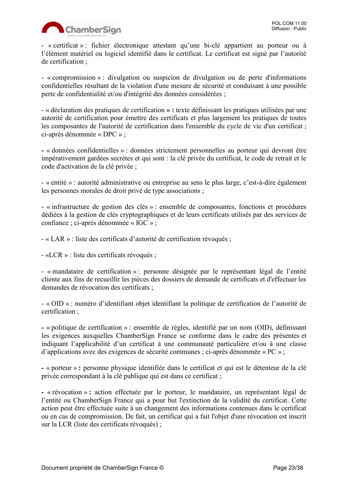

- « certificat » : fichier électronique attestant qu'une bi-clé appartient au porteur ou à l'élément matériel ou logiciel identifié dans le certificat. Le certificat est signé par l'autorité de certification ;

- « compromission » : divulgation ou suspicion de divulgation ou de perte d'informations confidentielles résultant de la violation d'une mesure de sécurité et conduisant à une possible perte de confidentialité et/ou d'intégrité des données considérées ;

- « déclaration des pratiques de certification **» :** texte définissant les pratiques utilisées par une autorité de certification pour émettre des certificats et plus largement les pratiques de toutes les composantes de l'autorité de certification dans l'ensemble du cycle de vie d'un certificat ; ci-après dénommée « DPC » ;

**-** « données confidentielles » : données strictement personnelles au porteur qui devront être impérativement gardées secrètes et qui sont : la clé privée du certificat, le code de retrait et le code d'activation de la clé privée ;

- « entité » : autorité administrative ou entreprise au sens le plus large, c'est-à-dire également les personnes morales de droit privé de type associations ;

- « infrastructure de gestion des clés » : ensemble de composantes, fonctions et procédures dédiées à la gestion de clés cryptographiques et de leurs certificats utilisés par des services de confiance ; ci-après dénommée « IGC » ;

- « LAR » : liste des certificats d'autorité de certification révoqués ;

- «LCR » : liste des certificats révoqués ;

- « mandataire de certification » : personne désignée par le représentant légal de l'entité cliente aux fins de recueillir les pièces des dossiers de demande de certificats et d'effectuer les demandes de révocation des certificats ;

- « OID » : numéro d'identifiant objet identifiant la politique de certification de l'autorité de certification ;

**-** « politique de certification » : ensemble de règles, identifié par un nom (OID), définissant les exigences auxquelles ChamberSign France se conforme dans le cadre des présentes et indiquant l'applicabilité d'un certificat à une communauté particulière et/ou à une classe d'applications avec des exigences de sécurité communes ; ci-après dénommée « PC » ;

**-** « porteur » **:** personne physique identifiée dans le certificat et qui est le détenteur de la clé privée correspondant à la clé publique qui est dans ce certificat ;

**-** « révocation » **:** action effectuée par le porteur, le mandataire, un représentant légal de l'entité ou ChamberSign France qui a pour but l'extinction de la validité du certificat. Cette action peut être effectuée suite à un changement des informations contenues dans le certificat ou en cas de compromission. De fait, un certificat qui a fait l'objet d'une révocation est inscrit sur la LCR (liste des certificats révoqués) ;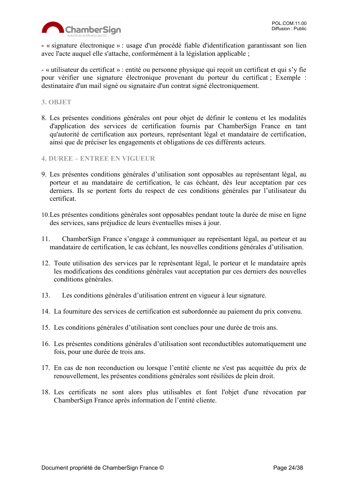

**-** « signature électronique » : usage d'un procédé fiable d'identification garantissant son lien avec l'acte auquel elle s'attache, conformément à la législation applicable ;

- « utilisateur du certificat » : entité ou personne physique qui reçoit un certificat et qui s'y fie pour vérifier une signature électronique provenant du porteur du certificat ; Exemple : destinataire d'un mail signé ou signataire d'un contrat signé électroniquement.

#### <span id="page-23-0"></span>**3. OBJET**

- 8. Les présentes conditions générales ont pour objet de définir le contenu et les modalités d'application des services de certification fournis par ChamberSign France en tant qu'autorité de certification aux porteurs, représentant légal et mandataire de certification, ainsi que de préciser les engagements et obligations de ces différents acteurs.
- <span id="page-23-1"></span>**4. DUREE – ENTREE EN VIGUEUR**
- 9. Les présentes conditions générales d'utilisation sont opposables au représentant légal, au porteur et au mandataire de certification, le cas échéant, dès leur acceptation par ces derniers. Ils se portent forts du respect de ces conditions générales par l'utilisateur du certificat.
- 10.Les présentes conditions générales sont opposables pendant toute la durée de mise en ligne des services, sans préjudice de leurs éventuelles mises à jour.
- 11. ChamberSign France s'engage à communiquer au représentant légal, au porteur et au mandataire de certification, le cas échéant, les nouvelles conditions générales d'utilisation.
- 12. Toute utilisation des services par le représentant légal, le porteur et le mandataire après les modifications des conditions générales vaut acceptation par ces derniers des nouvelles conditions générales.
- 13. Les conditions générales d'utilisation entrent en vigueur à leur signature.
- 14. La fourniture des services de certification est subordonnée au paiement du prix convenu.
- 15. Les conditions générales d'utilisation sont conclues pour une durée de trois ans.
- 16. Les présentes conditions générales d'utilisation sont reconductibles automatiquement une fois, pour une durée de trois ans.
- 17. En cas de non reconduction ou lorsque l'entité cliente ne s'est pas acquittée du prix de renouvellement, les présentes conditions générales sont résiliées de plein droit.
- 18. Les certificats ne sont alors plus utilisables et font l'objet d'une révocation par ChamberSign France après information de l'entité cliente.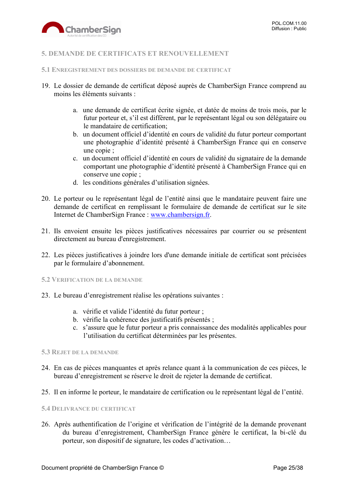

# <span id="page-24-0"></span>**5. DEMANDE DE CERTIFICATS ET RENOUVELLEMENT**

#### <span id="page-24-1"></span>**5.1 ENREGISTREMENT DES DOSSIERS DE DEMANDE DE CERTIFICAT**

- 19. Le dossier de demande de certificat déposé auprès de ChamberSign France comprend au moins les éléments suivants :
	- a. une demande de certificat écrite signée, et datée de moins de trois mois, par le futur porteur et, s'il est différent, par le représentant légal ou son délégataire ou le mandataire de certification;
	- b. un document officiel d'identité en cours de validité du futur porteur comportant une photographie d'identité présenté à ChamberSign France qui en conserve une copie ;
	- c. un document officiel d'identité en cours de validité du signataire de la demande comportant une photographie d'identité présenté à ChamberSign France qui en conserve une copie ;
	- d. les conditions générales d'utilisation signées.
- 20. Le porteur ou le représentant légal de l'entité ainsi que le mandataire peuvent faire une demande de certificat en remplissant le formulaire de demande de certificat sur le site Internet de ChamberSign France : [www.chambersign.fr.](http://www.chambersign.fr/)
- 21. Ils envoient ensuite les pièces justificatives nécessaires par courrier ou se présentent directement au bureau d'enregistrement.
- 22. Les pièces justificatives à joindre lors d'une demande initiale de certificat sont précisées par le formulaire d'abonnement.

#### <span id="page-24-2"></span>**5.2 VERIFICATION DE LA DEMANDE**

- 23. Le bureau d'enregistrement réalise les opérations suivantes :
	- a. vérifie et valide l'identité du futur porteur ;
	- b. vérifie la cohérence des justificatifs présentés ;
	- c. s'assure que le futur porteur a pris connaissance des modalités applicables pour l'utilisation du certificat déterminées par les présentes.

#### <span id="page-24-3"></span>**5.3 REJET DE LA DEMANDE**

- 24. En cas de pièces manquantes et après relance quant à la communication de ces pièces, le bureau d'enregistrement se réserve le droit de rejeter la demande de certificat.
- 25. Il en informe le porteur, le mandataire de certification ou le représentant légal de l'entité.

#### <span id="page-24-4"></span>**5.4 DELIVRANCE DU CERTIFICAT**

26. Après authentification de l'origine et vérification de l'intégrité de la demande provenant du bureau d'enregistrement, ChamberSign France génère le certificat, la bi-clé du porteur, son dispositif de signature, les codes d'activation…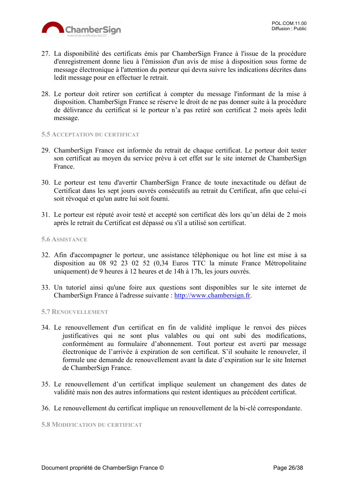

- 27. La disponibilité des certificats émis par ChamberSign France à l'issue de la procédure d'enregistrement donne lieu à l'émission d'un avis de mise à disposition sous forme de message électronique à l'attention du porteur qui devra suivre les indications décrites dans ledit message pour en effectuer le retrait.
- 28. Le porteur doit retirer son certificat à compter du message l'informant de la mise à disposition. ChamberSign France se réserve le droit de ne pas donner suite à la procédure de délivrance du certificat si le porteur n'a pas retiré son certificat 2 mois après ledit message.

#### <span id="page-25-0"></span>**5.5 ACCEPTATION DU CERTIFICAT**

- 29. ChamberSign France est informée du retrait de chaque certificat. Le porteur doit tester son certificat au moyen du service prévu à cet effet sur le site internet de ChamberSign France.
- 30. Le porteur est tenu d'avertir ChamberSign France de toute inexactitude ou défaut de Certificat dans les sept jours ouvrés consécutifs au retrait du Certificat, afin que celui-ci soit révoqué et qu'un autre lui soit fourni.
- 31. Le porteur est réputé avoir testé et accepté son certificat dès lors qu'un délai de 2 mois après le retrait du Certificat est dépassé ou s'il a utilisé son certificat.

#### <span id="page-25-1"></span>**5.6 ASSISTANCE**

- 32. Afin d'accompagner le porteur, une assistance téléphonique ou hot line est mise à sa disposition au 08 92 23 02 52 (0,34 Euros TTC la minute France Métropolitaine uniquement) de 9 heures à 12 heures et de 14h à 17h, les jours ouvrés.
- 33. Un tutoriel ainsi qu'une foire aux questions sont disponibles sur le site internet de ChamberSign France à l'adresse suivante : [http://www.chambersign.fr.](http://www.chambersign.fr/)

#### <span id="page-25-2"></span>**5.7 RENOUVELLEMENT**

- 34. Le renouvellement d'un certificat en fin de validité implique le renvoi des pièces justificatives qui ne sont plus valables ou qui ont subi des modifications, conformément au formulaire d'abonnement. Tout porteur est averti par message électronique de l'arrivée à expiration de son certificat. S'il souhaite le renouveler, il formule une demande de renouvellement avant la date d'expiration sur le site Internet de ChamberSign France.
- 35. Le renouvellement d'un certificat implique seulement un changement des dates de validité mais non des autres informations qui restent identiques au précédent certificat.
- 36. Le renouvellement du certificat implique un renouvellement de la bi-clé correspondante.

<span id="page-25-3"></span>**5.8 MODIFICATION DU CERTIFICAT**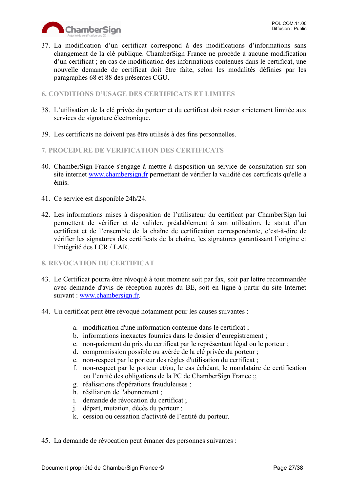

37. La modification d'un certificat correspond à des modifications d'informations sans changement de la clé publique. ChamberSign France ne procède à aucune modification d'un certificat ; en cas de modification des informations contenues dans le certificat, une nouvelle demande de certificat doit être faite, selon les modalités définies par les paragraphes 68 et 88 des présentes CGU.

#### <span id="page-26-0"></span>**6. CONDITIONS D'USAGE DES CERTIFICATS ET LIMITES**

- 38. L'utilisation de la clé privée du porteur et du certificat doit rester strictement limitée aux services de signature électronique.
- 39. Les certificats ne doivent pas être utilisés à des fins personnelles.

# <span id="page-26-1"></span>**7. PROCEDURE DE VERIFICATION DES CERTIFICATS**

- 40. ChamberSign France s'engage à mettre à disposition un service de consultation sur son site internet [www.chambersign.fr](http://www.chambersign.fr/) permettant de vérifier la validité des certificats qu'elle a émis.
- 41. Ce service est disponible 24h/24.
- 42. Les informations mises à disposition de l'utilisateur du certificat par ChamberSign lui permettent de vérifier et de valider, préalablement à son utilisation, le statut d'un certificat et de l'ensemble de la chaîne de certification correspondante, c'est-à-dire de vérifier les signatures des certificats de la chaîne, les signatures garantissant l'origine et l'intégrité des LCR / LAR.
- <span id="page-26-2"></span>**8. REVOCATION DU CERTIFICAT**
- 43. Le Certificat pourra être révoqué à tout moment soit par fax, soit par lettre recommandée avec demande d'avis de réception auprès du BE, soit en ligne à partir du site Internet suivant : [www.chambersign.fr.](http://www.chambersign.fr/)
- 44. Un certificat peut être révoqué notamment pour les causes suivantes :
	- a. modification d'une information contenue dans le certificat ;
	- b. informations inexactes fournies dans le dossier d'enregistrement ;
	- c. non-paiement du prix du certificat par le représentant légal ou le porteur ;
	- d. compromission possible ou avérée de la clé privée du porteur ;
	- e. non-respect par le porteur des règles d'utilisation du certificat ;
	- f. non-respect par le porteur et/ou, le cas échéant, le mandataire de certification ou l'entité des obligations de la PC de ChamberSign France ;;
	- g. réalisations d'opérations frauduleuses ;
	- h. résiliation de l'abonnement ;
	- i. demande de révocation du certificat ;
	- j. départ, mutation, décès du porteur ;
	- k. cession ou cessation d'activité de l'entité du porteur.
- 45. La demande de révocation peut émaner des personnes suivantes :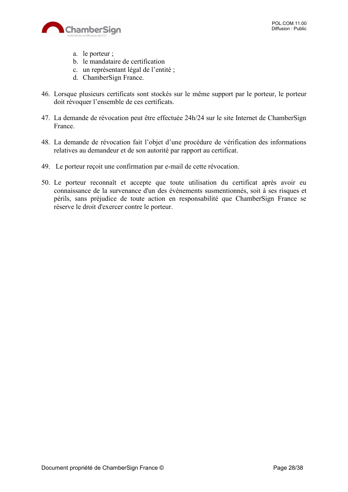

- a. le porteur ;
- b. le mandataire de certification
- c. un représentant légal de l'entité ;
- d. ChamberSign France.
- 46. Lorsque plusieurs certificats sont stockés sur le même support par le porteur, le porteur doit révoquer l'ensemble de ces certificats.
- 47. La demande de révocation peut être effectuée 24h/24 sur le site Internet de ChamberSign France.
- 48. La demande de révocation fait l'objet d'une procédure de vérification des informations relatives au demandeur et de son autorité par rapport au certificat.
- 49. Le porteur reçoit une confirmation par e-mail de cette révocation.
- 50. Le porteur reconnaît et accepte que toute utilisation du certificat après avoir eu connaissance de la survenance d'un des événements susmentionnés, soit à ses risques et périls, sans préjudice de toute action en responsabilité que ChamberSign France se réserve le droit d'exercer contre le porteur.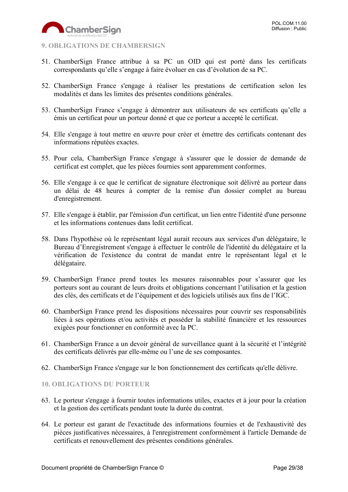

# <span id="page-28-0"></span>**9. OBLIGATIONS DE CHAMBERSIGN**

- 51. ChamberSign France attribue à sa PC un OID qui est porté dans les certificats correspondants qu'elle s'engage à faire évoluer en cas d'évolution de sa PC.
- 52. ChamberSign France s'engage à réaliser les prestations de certification selon les modalités et dans les limites des présentes conditions générales.
- 53. ChamberSign France s'engage à démontrer aux utilisateurs de ses certificats qu'elle a émis un certificat pour un porteur donné et que ce porteur a accepté le certificat.
- 54. Elle s'engage à tout mettre en œuvre pour créer et émettre des certificats contenant des informations réputées exactes.
- 55. Pour cela, ChamberSign France s'engage à s'assurer que le dossier de demande de certificat est complet, que les pièces fournies sont apparemment conformes.
- 56. Elle s'engage à ce que le certificat de signature électronique soit délivré au porteur dans un délai de 48 heures à compter de la remise d'un dossier complet au bureau d'enregistrement.
- 57. Elle s'engage à établir, par l'émission d'un certificat, un lien entre l'identité d'une personne et les informations contenues dans ledit certificat.
- 58. Dans l'hypothèse où le représentant légal aurait recours aux services d'un délégataire, le Bureau d'Enregistrement s'engage à effectuer le contrôle de l'identité du délégataire et la vérification de l'existence du contrat de mandat entre le représentant légal et le délégataire.
- 59. ChamberSign France prend toutes les mesures raisonnables pour s'assurer que les porteurs sont au courant de leurs droits et obligations concernant l'utilisation et la gestion des clés, des certificats et de l'équipement et des logiciels utilisés aux fins de l'IGC.
- 60. ChamberSign France prend les dispositions nécessaires pour couvrir ses responsabilités liées à ses opérations et/ou activités et posséder la stabilité financière et les ressources exigées pour fonctionner en conformité avec la PC.
- 61. ChamberSign France a un devoir général de surveillance quant à la sécurité et l'intégrité des certificats délivrés par elle-même ou l'une de ses composantes.
- 62. ChamberSign France s'engage sur le bon fonctionnement des certificats qu'elle délivre.

# <span id="page-28-1"></span>**10. OBLIGATIONS DU PORTEUR**

- 63. Le porteur s'engage à fournir toutes informations utiles, exactes et à jour pour la création et la gestion des certificats pendant toute la durée du contrat.
- 64. Le porteur est garant de l'exactitude des informations fournies et de l'exhaustivité des pièces justificatives nécessaires, à l'enregistrement conformément à l'article Demande de certificats et renouvellement des présentes conditions générales.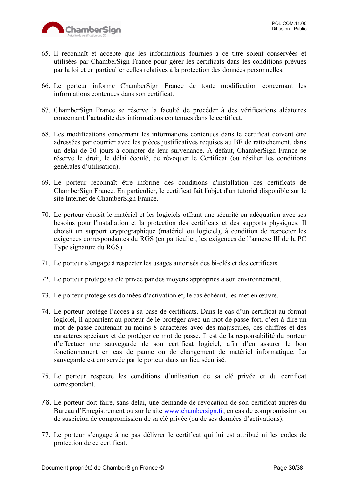

- 65. Il reconnaît et accepte que les informations fournies à ce titre soient conservées et utilisées par ChamberSign France pour gérer les certificats dans les conditions prévues par la loi et en particulier celles relatives à la protection des données personnelles.
- 66. Le porteur informe ChamberSign France de toute modification concernant les informations contenues dans son certificat.
- 67. ChamberSign France se réserve la faculté de procéder à des vérifications aléatoires concernant l'actualité des informations contenues dans le certificat.
- 68. Les modifications concernant les informations contenues dans le certificat doivent être adressées par courrier avec les pièces justificatives requises au BE de rattachement, dans un délai de 30 jours à compter de leur survenance. A défaut, ChamberSign France se réserve le droit, le délai écoulé, de révoquer le Certificat (ou résilier les conditions générales d'utilisation).
- 69. Le porteur reconnaît être informé des conditions d'installation des certificats de ChamberSign France. En particulier, le certificat fait l'objet d'un tutoriel disponible sur le site Internet de ChamberSign France.
- 70. Le porteur choisit le matériel et les logiciels offrant une sécurité en adéquation avec ses besoins pour l'installation et la protection des certificats et des supports physiques. Il choisit un support cryptographique (matériel ou logiciel), à condition de respecter les exigences correspondantes du RGS (en particulier, les exigences de l'annexe III de la PC Type signature du RGS).
- 71. Le porteur s'engage à respecter les usages autorisés des bi-clés et des certificats.
- 72. Le porteur protège sa clé privée par des moyens appropriés à son environnement.
- 73. Le porteur protège ses données d'activation et, le cas échéant, les met en œuvre.
- 74. Le porteur protège l'accès à sa base de certificats. Dans le cas d'un certificat au format logiciel, il appartient au porteur de le protéger avec un mot de passe fort, c'est-à-dire un mot de passe contenant au moins 8 caractères avec des majuscules, des chiffres et des caractères spéciaux et de protéger ce mot de passe. Il est de la responsabilité du porteur d'effectuer une sauvegarde de son certificat logiciel, afin d'en assurer le bon fonctionnement en cas de panne ou de changement de matériel informatique. La sauvegarde est conservée par le porteur dans un lieu sécurisé.
- 75. Le porteur respecte les conditions d'utilisation de sa clé privée et du certificat correspondant.
- 76. Le porteur doit faire, sans délai, une demande de révocation de son certificat auprès du Bureau d'Enregistrement ou sur le site [www.chambersign.fr,](http://www.chambersign.fr/) en cas de compromission ou de suspicion de compromission de sa clé privée (ou de ses données d'activations).
- 77. Le porteur s'engage à ne pas délivrer le certificat qui lui est attribué ni les codes de protection de ce certificat.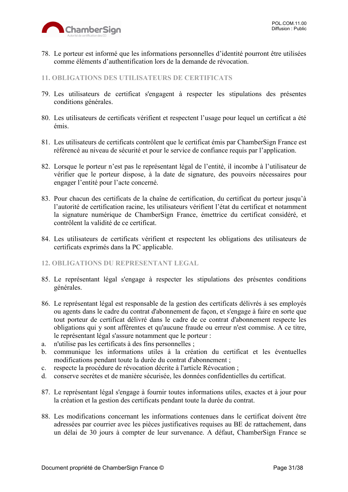

78. Le porteur est informé que les informations personnelles d'identité pourront être utilisées comme éléments d'authentification lors de la demande de révocation.

#### <span id="page-30-0"></span>**11. OBLIGATIONS DES UTILISATEURS DE CERTIFICATS**

- 79. Les utilisateurs de certificat s'engagent à respecter les stipulations des présentes conditions générales.
- 80. Les utilisateurs de certificats vérifient et respectent l'usage pour lequel un certificat a été émis.
- 81. Les utilisateurs de certificats contrôlent que le certificat émis par ChamberSign France est référencé au niveau de sécurité et pour le service de confiance requis par l'application.
- 82. Lorsque le porteur n'est pas le représentant légal de l'entité, il incombe à l'utilisateur de vérifier que le porteur dispose, à la date de signature, des pouvoirs nécessaires pour engager l'entité pour l'acte concerné.
- 83. Pour chacun des certificats de la chaîne de certification, du certificat du porteur jusqu'à l'autorité de certification racine, les utilisateurs vérifient l'état du certificat et notamment la signature numérique de ChamberSign France, émettrice du certificat considéré, et contrôlent la validité de ce certificat.
- 84. Les utilisateurs de certificats vérifient et respectent les obligations des utilisateurs de certificats exprimés dans la PC applicable.

#### <span id="page-30-1"></span>**12. OBLIGATIONS DU REPRESENTANT LEGAL**

- 85. Le représentant légal s'engage à respecter les stipulations des présentes conditions générales.
- 86. Le représentant légal est responsable de la gestion des certificats délivrés à ses employés ou agents dans le cadre du contrat d'abonnement de façon, et s'engage à faire en sorte que tout porteur de certificat délivré dans le cadre de ce contrat d'abonnement respecte les obligations qui y sont afférentes et qu'aucune fraude ou erreur n'est commise. A ce titre, le représentant légal s'assure notamment que le porteur :
- a. n'utilise pas les certificats à des fins personnelles ;
- b. communique les informations utiles à la création du certificat et les éventuelles modifications pendant toute la durée du contrat d'abonnement ;
- c. respecte la procédure de révocation décrite à l'article Révocation ;
- d. conserve secrètes et de manière sécurisée, les données confidentielles du certificat.
- 87. Le représentant légal s'engage à fournir toutes informations utiles, exactes et à jour pour la création et la gestion des certificats pendant toute la durée du contrat.
- 88. Les modifications concernant les informations contenues dans le certificat doivent être adressées par courrier avec les pièces justificatives requises au BE de rattachement, dans un délai de 30 jours à compter de leur survenance. A défaut, ChamberSign France se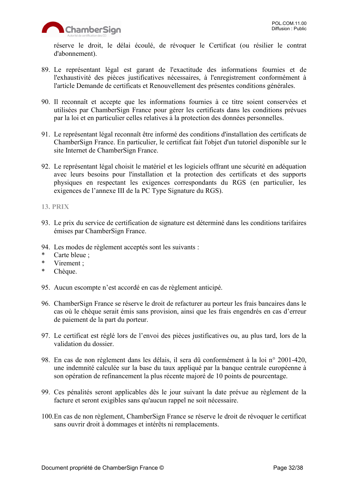réserve le droit, le délai écoulé, de révoquer le Certificat (ou résilier le contrat d'abonnement).

- 89. Le représentant légal est garant de l'exactitude des informations fournies et de l'exhaustivité des pièces justificatives nécessaires, à l'enregistrement conformément à l'article Demande de certificats et Renouvellement des présentes conditions générales.
- 90. Il reconnaît et accepte que les informations fournies à ce titre soient conservées et utilisées par ChamberSign France pour gérer les certificats dans les conditions prévues par la loi et en particulier celles relatives à la protection des données personnelles.
- 91. Le représentant légal reconnaît être informé des conditions d'installation des certificats de ChamberSign France. En particulier, le certificat fait l'objet d'un tutoriel disponible sur le site Internet de ChamberSign France.
- 92. Le représentant légal choisit le matériel et les logiciels offrant une sécurité en adéquation avec leurs besoins pour l'installation et la protection des certificats et des supports physiques en respectant les exigences correspondants du RGS (en particulier, les exigences de l'annexe III de la PC Type Signature du RGS).

#### <span id="page-31-0"></span>**13. PRIX**

- 93. Le prix du service de certification de signature est déterminé dans les conditions tarifaires émises par ChamberSign France.
- 94. Les modes de règlement acceptés sont les suivants :
- Carte bleue ;
- \* Virement ;
- \* Chèque.
- 95. Aucun escompte n'est accordé en cas de règlement anticipé.
- 96. ChamberSign France se réserve le droit de refacturer au porteur les frais bancaires dans le cas où le chèque serait émis sans provision, ainsi que les frais engendrés en cas d'erreur de paiement de la part du porteur.
- 97. Le certificat est réglé lors de l'envoi des pièces justificatives ou, au plus tard, lors de la validation du dossier.
- 98. En cas de non règlement dans les délais, il sera dû conformément à la loi n° 2001-420, une indemnité calculée sur la base du taux appliqué par la banque centrale européenne à son opération de refinancement la plus récente majoré de 10 points de pourcentage.
- 99. Ces pénalités seront applicables dès le jour suivant la date prévue au règlement de la facture et seront exigibles sans qu'aucun rappel ne soit nécessaire.
- 100.En cas de non règlement, ChamberSign France se réserve le droit de révoquer le certificat sans ouvrir droit à dommages et intérêts ni remplacements.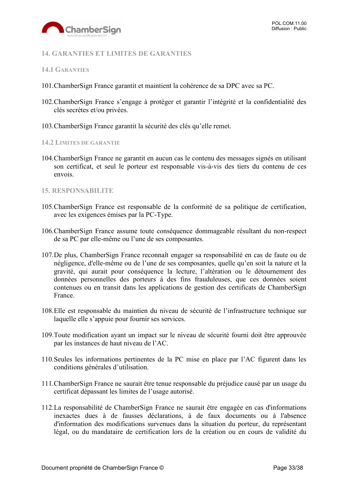

# <span id="page-32-0"></span>**14. GARANTIES ET LIMITES DE GARANTIES**

#### <span id="page-32-1"></span>**14.1 GARANTIES**

- 101.ChamberSign France garantit et maintient la cohérence de sa DPC avec sa PC.
- 102.ChamberSign France s'engage à protéger et garantir l'intégrité et la confidentialité des clés secrètes et/ou privées.
- 103.ChamberSign France garantit la sécurité des clés qu'elle remet.

#### <span id="page-32-2"></span>**14.2 LIMITES DE GARANTIE**

104.ChamberSign France ne garantit en aucun cas le contenu des messages signés en utilisant son certificat, et seul le porteur est responsable vis-à-vis des tiers du contenu de ces envois.

#### <span id="page-32-3"></span>**15. RESPONSABILITE**

- 105.ChamberSign France est responsable de la conformité de sa politique de certification, avec les exigences émises par la PC-Type.
- 106.ChamberSign France assume toute conséquence dommageable résultant du non-respect de sa PC par elle-même ou l'une de ses composantes.
- 107.De plus, ChamberSign France reconnaît engager sa responsabilité en cas de faute ou de négligence, d'elle-même ou de l'une de ses composantes, quelle qu'en soit la nature et la gravité, qui aurait pour conséquence la lecture, l'altération ou le détournement des données personnelles des porteurs à des fins frauduleuses, que ces données soient contenues ou en transit dans les applications de gestion des certificats de ChamberSign France.
- 108.Elle est responsable du maintien du niveau de sécurité de l'infrastructure technique sur laquelle elle s'appuie pour fournir ses services.
- 109.Toute modification ayant un impact sur le niveau de sécurité fourni doit être approuvée par les instances de haut niveau de l'AC.
- 110.Seules les informations pertinentes de la PC mise en place par l'AC figurent dans les conditions générales d'utilisation.
- 111.ChamberSign France ne saurait être tenue responsable du préjudice causé par un usage du certificat dépassant les limites de l'usage autorisé.
- 112.La responsabilité de ChamberSign France ne saurait être engagée en cas d'informations inexactes dues à de fausses déclarations, à de faux documents ou à l'absence d'information des modifications survenues dans la situation du porteur, du représentant légal, ou du mandataire de certification lors de la création ou en cours de validité du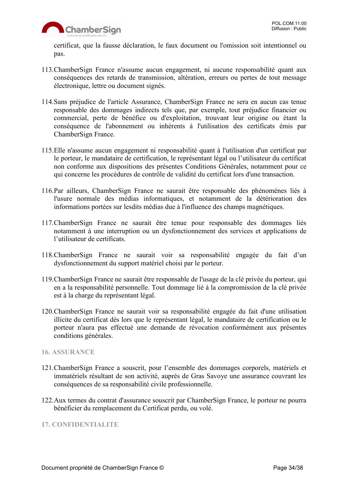

certificat, que la fausse déclaration, le faux document ou l'omission soit intentionnel ou pas.

- 113.ChamberSign France n'assume aucun engagement, ni aucune responsabilité quant aux conséquences des retards de transmission, altération, erreurs ou pertes de tout message électronique, lettre ou document signés.
- 114.Sans préjudice de l'article Assurance, ChamberSign France ne sera en aucun cas tenue responsable des dommages indirects tels que, par exemple, tout préjudice financier ou commercial, perte de bénéfice ou d'exploitation, trouvant leur origine ou étant la conséquence de l'abonnement ou inhérents à l'utilisation des certificats émis par ChamberSign France.
- 115.Elle n'assume aucun engagement ni responsabilité quant à l'utilisation d'un certificat par le porteur, le mandataire de certification, le représentant légal ou l'utilisateur du certificat non conforme aux dispositions des présentes Conditions Générales, notamment pour ce qui concerne les procédures de contrôle de validité du certificat lors d'une transaction.
- 116.Par ailleurs, ChamberSign France ne saurait être responsable des phénomènes liés à l'usure normale des médias informatiques, et notamment de la détérioration des informations portées sur lesdits médias due à l'influence des champs magnétiques.
- 117.ChamberSign France ne saurait être tenue pour responsable des dommages liés notamment à une interruption ou un dysfonctionnement des services et applications de l'utilisateur de certificats.
- 118.ChamberSign France ne saurait voir sa responsabilité engagée du fait d'un dysfonctionnement du support matériel choisi par le porteur.
- 119.ChamberSign France ne saurait être responsable de l'usage de la clé privée du porteur, qui en a la responsabilité personnelle. Tout dommage lié à la compromission de la clé privée est à la charge du représentant légal.
- 120.ChamberSign France ne saurait voir sa responsabilité engagée du fait d'une utilisation illicite du certificat dès lors que le représentant légal, le mandataire de certification ou le porteur n'aura pas effectué une demande de révocation conformément aux présentes conditions générales.

#### <span id="page-33-0"></span>**16. ASSURANCE**

- 121.ChamberSign France a souscrit, pour l'ensemble des dommages corporels, matériels et immatériels résultant de son activité, auprès de Gras Savoye une assurance couvrant les conséquences de sa responsabilité civile professionnelle.
- 122.Aux termes du contrat d'assurance souscrit par ChamberSign France, le porteur ne pourra bénéficier du remplacement du Certificat perdu, ou volé.

#### <span id="page-33-1"></span>**17. CONFIDENTIALITE**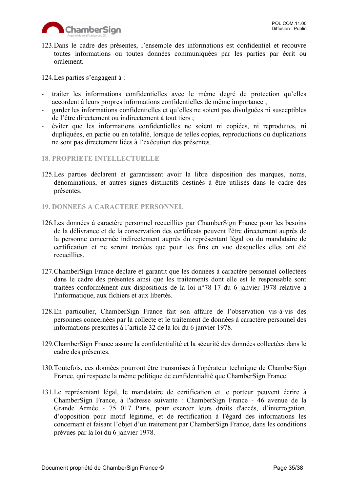123.Dans le cadre des présentes, l'ensemble des informations est confidentiel et recouvre toutes informations ou toutes données communiquées par les parties par écrit ou oralement.

124.Les parties s'engagent à :

- traiter les informations confidentielles avec le même degré de protection qu'elles accordent à leurs propres informations confidentielles de même importance ;
- garder les informations confidentielles et qu'elles ne soient pas divulguées ni susceptibles de l'être directement ou indirectement à tout tiers ;
- éviter que les informations confidentielles ne soient ni copiées, ni reproduites, ni dupliquées, en partie ou en totalité, lorsque de telles copies, reproductions ou duplications ne sont pas directement liées à l'exécution des présentes.
- <span id="page-34-0"></span>**18. PROPRIETE INTELLECTUELLE**
- 125.Les parties déclarent et garantissent avoir la libre disposition des marques, noms, dénominations, et autres signes distinctifs destinés à être utilisés dans le cadre des présentes.
- <span id="page-34-1"></span>**19. DONNEES A CARACTERE PERSONNEL**
- 126.Les données à caractère personnel recueillies par ChamberSign France pour les besoins de la délivrance et de la conservation des certificats peuvent l'être directement auprès de la personne concernée indirectement auprès du représentant légal ou du mandataire de certification et ne seront traitées que pour les fins en vue desquelles elles ont été recueillies.
- 127.ChamberSign France déclare et garantit que les données à caractère personnel collectées dans le cadre des présentes ainsi que les traitements dont elle est le responsable sont traitées conformément aux dispositions de la loi n°78-17 du 6 janvier 1978 relative à l'informatique, aux fichiers et aux libertés.
- 128.En particulier, ChamberSign France fait son affaire de l'observation vis-à-vis des personnes concernées par la collecte et le traitement de données à caractère personnel des informations prescrites à l'article 32 de la loi du 6 janvier 1978.
- 129.ChamberSign France assure la confidentialité et la sécurité des données collectées dans le cadre des présentes.
- 130.Toutefois, ces données pourront être transmises à l'opérateur technique de ChamberSign France, qui respecte la même politique de confidentialité que ChamberSign France.
- 131.Le représentant légal, le mandataire de certification et le porteur peuvent écrire à ChamberSign France, à l'adresse suivante : ChamberSign France - 46 avenue de la Grande Armée - 75 017 Paris, pour exercer leurs droits d'accès, d'interrogation, d'opposition pour motif légitime, et de rectification à l'égard des informations les concernant et faisant l'objet d'un traitement par ChamberSign France, dans les conditions prévues par la loi du 6 janvier 1978.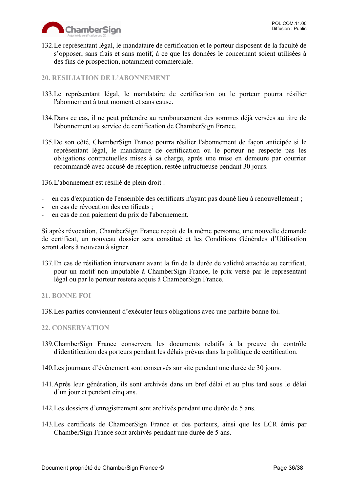

132.Le représentant légal, le mandataire de certification et le porteur disposent de la faculté de s'opposer, sans frais et sans motif, à ce que les données le concernant soient utilisées à des fins de prospection, notamment commerciale.

#### <span id="page-35-0"></span>**20. RESILIATION DE L'ABONNEMENT**

- 133.Le représentant légal, le mandataire de certification ou le porteur pourra résilier l'abonnement à tout moment et sans cause.
- 134.Dans ce cas, il ne peut prétendre au remboursement des sommes déjà versées au titre de l'abonnement au service de certification de ChamberSign France.
- 135.De son côté, ChamberSign France pourra résilier l'abonnement de façon anticipée si le représentant légal, le mandataire de certification ou le porteur ne respecte pas les obligations contractuelles mises à sa charge, après une mise en demeure par courrier recommandé avec accusé de réception, restée infructueuse pendant 30 jours.

136.L'abonnement est résilié de plein droit :

- en cas d'expiration de l'ensemble des certificats n'ayant pas donné lieu à renouvellement ;
- en cas de révocation des certificats ;
- en cas de non paiement du prix de l'abonnement.

Si après révocation, ChamberSign France reçoit de la même personne, une nouvelle demande de certificat, un nouveau dossier sera constitué et les Conditions Générales d'Utilisation seront alors à nouveau à signer.

137.En cas de résiliation intervenant avant la fin de la durée de validité attachée au certificat, pour un motif non imputable à ChamberSign France, le prix versé par le représentant légal ou par le porteur restera acquis à ChamberSign France.

#### <span id="page-35-1"></span>**21. BONNE FOI**

138.Les parties conviennent d'exécuter leurs obligations avec une parfaite bonne foi.

#### <span id="page-35-2"></span>**22. CONSERVATION**

- 139.ChamberSign France conservera les documents relatifs à la preuve du contrôle d'identification des porteurs pendant les délais prévus dans la politique de certification.
- 140.Les journaux d'évènement sont conservés sur site pendant une durée de 30 jours.
- 141.Après leur génération, ils sont archivés dans un bref délai et au plus tard sous le délai d'un jour et pendant cinq ans.
- 142.Les dossiers d'enregistrement sont archivés pendant une durée de 5 ans.
- 143.Les certificats de ChamberSign France et des porteurs, ainsi que les LCR émis par ChamberSign France sont archivés pendant une durée de 5 ans.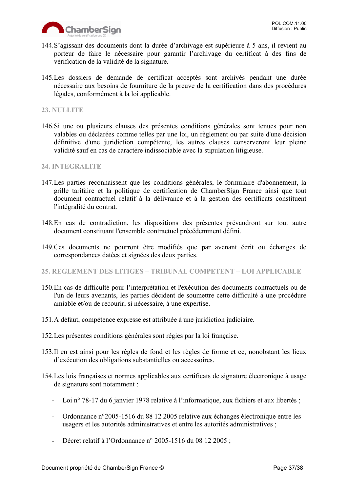

- 144.S'agissant des documents dont la durée d'archivage est supérieure à 5 ans, il revient au porteur de faire le nécessaire pour garantir l'archivage du certificat à des fins de vérification de la validité de la signature.
- 145.Les dossiers de demande de certificat acceptés sont archivés pendant une durée nécessaire aux besoins de fourniture de la preuve de la certification dans des procédures légales, conformément à la loi applicable.

#### <span id="page-36-0"></span>**23. NULLITE**

146.Si une ou plusieurs clauses des présentes conditions générales sont tenues pour non valables ou déclarées comme telles par une loi, un règlement ou par suite d'une décision définitive d'une juridiction compétente, les autres clauses conserveront leur pleine validité sauf en cas de caractère indissociable avec la stipulation litigieuse.

#### <span id="page-36-1"></span>**24. INTEGRALITE**

- 147.Les parties reconnaissent que les conditions générales, le formulaire d'abonnement, la grille tarifaire et la politique de certification de ChamberSign France ainsi que tout document contractuel relatif à la délivrance et à la gestion des certificats constituent l'intégralité du contrat.
- 148.En cas de contradiction, les dispositions des présentes prévaudront sur tout autre document constituant l'ensemble contractuel précédemment défini.
- 149.Ces documents ne pourront être modifiés que par avenant écrit ou échanges de correspondances datées et signées des deux parties.
- <span id="page-36-2"></span>**25. REGLEMENT DES LITIGES – TRIBUNAL COMPETENT – LOI APPLICABLE**
- 150.En cas de difficulté pour l'interprétation et l'exécution des documents contractuels ou de l'un de leurs avenants, les parties décident de soumettre cette difficulté à une procédure amiable et/ou de recourir, si nécessaire, à une expertise.
- 151.A défaut, compétence expresse est attribuée à une juridiction judiciaire.
- 152.Les présentes conditions générales sont régies par la loi française.
- 153.Il en est ainsi pour les règles de fond et les règles de forme et ce, nonobstant les lieux d'exécution des obligations substantielles ou accessoires.
- 154.Les lois françaises et normes applicables aux certificats de signature électronique à usage de signature sont notamment :
	- Loi n° 78-17 du 6 janvier 1978 relative à l'informatique, aux fichiers et aux libertés ;
	- Ordonnance n°2005-1516 du 88 12 2005 relative aux échanges électronique entre les usagers et les autorités administratives et entre les autorités administratives ;
	- Décret relatif à l'Ordonnance n° 2005-1516 du 08 12 2005 ;